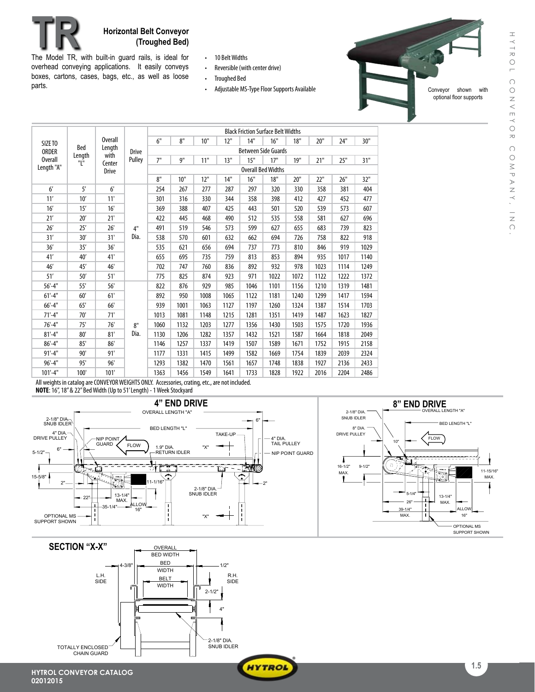

The Model TR, with built-in guard rails, is ideal for overhead conveying applications. It easily conveys boxes, cartons, cases, bags, etc., as well as loose parts.

- • 10 BeltWidths
- Reversible (with center drive)
- • Troughed Bed
- Adjustable MS-Type Floor Supports Available

Conveyor shown with optional floor supports

| SIZE TO<br><b>ORDER</b><br><b>Overall</b><br>Length "A" | Bed<br>Length<br>"L" | <b>Overall</b><br>Length<br>with<br>Center<br><b>Drive</b> | <b>Drive</b><br>Pulley | <b>Black Friction Surface Belt Widths</b> |      |      |      |      |      |      |      |      |      |
|---------------------------------------------------------|----------------------|------------------------------------------------------------|------------------------|-------------------------------------------|------|------|------|------|------|------|------|------|------|
|                                                         |                      |                                                            |                        | 6"                                        | 8"   | 10"  | 12"  | 14"  | 16"  | 18"  | 20"  | 24"  | 30"  |
|                                                         |                      |                                                            |                        | <b>Between Side Guards</b>                |      |      |      |      |      |      |      |      |      |
|                                                         |                      |                                                            |                        | 7"                                        | 9"   | 11"  | 13"  | 15"  | 17"  | 19"  | 21"  | 25"  | 31"  |
|                                                         |                      |                                                            |                        | <b>Overall Bed Widths</b>                 |      |      |      |      |      |      |      |      |      |
|                                                         |                      |                                                            |                        | 8"                                        | 10"  | 12"  | 14"  | 16"  | 18"  | 20"  | 22"  | 26"  | 32"  |
| 6'                                                      | 5'                   | 6 <sup>1</sup>                                             |                        | 254                                       | 267  | 277  | 287  | 297  | 320  | 330  | 358  | 381  | 404  |
| 11'                                                     | 10'                  | 11'                                                        |                        | 301                                       | 316  | 330  | 344  | 358  | 398  | 412  | 427  | 452  | 477  |
| 16'                                                     | 15'                  | 16'                                                        |                        | 369                                       | 388  | 407  | 425  | 443  | 501  | 520  | 539  | 573  | 607  |
| 21'                                                     | 20'                  | 21'                                                        |                        | 422                                       | 445  | 468  | 490  | 512  | 535  | 558  | 581  | 627  | 696  |
| 26'                                                     | 25'                  | 26'                                                        | 4"                     | 491                                       | 519  | 546  | 573  | 599  | 627  | 655  | 683  | 739  | 823  |
| 31'                                                     | 30'                  | 31'                                                        | Dia.                   | 538                                       | 570  | 601  | 632  | 662  | 694  | 726  | 758  | 822  | 918  |
| 36'                                                     | 35'                  | 36'                                                        |                        | 535                                       | 621  | 656  | 694  | 737  | 773  | 810  | 846  | 919  | 1029 |
| 41'                                                     | 40'                  | 41'                                                        |                        | 655                                       | 695  | 735  | 759  | 813  | 853  | 894  | 935  | 1017 | 1140 |
| 46'                                                     | 45'                  | 46'                                                        |                        | 702                                       | 747  | 760  | 836  | 892  | 932  | 978  | 1023 | 1114 | 1249 |
| 51'                                                     | 50'                  | 51'                                                        |                        | 775                                       | 825  | 874  | 923  | 971  | 1022 | 1072 | 1122 | 1222 | 1372 |
| $56' - 4"$                                              | 55'                  | 56'                                                        |                        | 822                                       | 876  | 929  | 985  | 1046 | 1101 | 1156 | 1210 | 1319 | 1481 |
| $61'-4"$                                                | 60'                  | 61'                                                        | 8"<br>Dia.             | 892                                       | 950  | 1008 | 1065 | 1122 | 1181 | 1240 | 1299 | 1417 | 1594 |
| $66' - 4"$                                              | 65'                  | 66'                                                        |                        | 939                                       | 1001 | 1063 | 1127 | 1197 | 1260 | 1324 | 1387 | 1514 | 1703 |
| $71'-4"$                                                | 70'                  | 71'                                                        |                        | 1013                                      | 1081 | 1148 | 1215 | 1281 | 1351 | 1419 | 1487 | 1623 | 1827 |
| $76'-4"$                                                | 75'                  | 76'                                                        |                        | 1060                                      | 1132 | 1203 | 1277 | 1356 | 1430 | 1503 | 1575 | 1720 | 1936 |
| $81'-4"$                                                | 80'                  | 81'                                                        |                        | 1130                                      | 1206 | 1282 | 1357 | 1432 | 1521 | 1587 | 1664 | 1818 | 2049 |
| $86' - 4"$                                              | 85'                  | 86'                                                        |                        | 1146                                      | 1257 | 1337 | 1419 | 1507 | 1589 | 1671 | 1752 | 1915 | 2158 |
| $91'-4"$                                                | 90'                  | 91'                                                        |                        | 1177                                      | 1331 | 1415 | 1499 | 1582 | 1669 | 1754 | 1839 | 2039 | 2324 |
| $96' - 4"$                                              | 95'                  | 96'                                                        |                        | 1293                                      | 1382 | 1470 | 1561 | 1657 | 1748 | 1838 | 1927 | 2136 | 2433 |
| $101'-4"$                                               | 100'                 | 101'                                                       |                        | 1363                                      | 1456 | 1549 | 1641 | 1733 | 1828 | 1922 | 2016 | 2204 | 2486 |

All weights in catalog are CONVEYOR WEIGHTS ONLY. Accessories, crating, etc., are not included. **NOTE:** 16", 18" & 22" Bed Width (Up to 51'Length) - 1 Week Stockyard



**HYTROL**